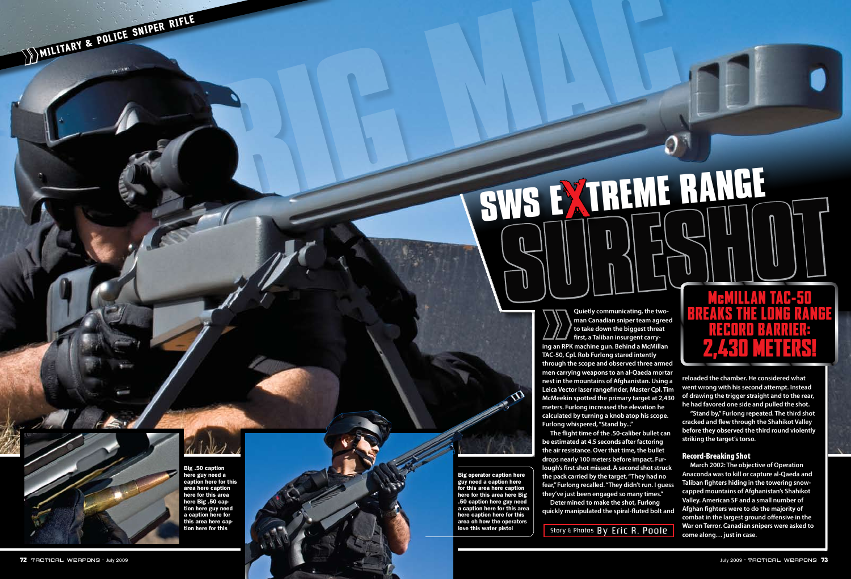**SURFAILT SWS <sup>E</sup>**X**TREME RANGE**

### M cMillan T AC-50 Breaks The LO)  $\overline{\mathsf{I}}$ NG RAN G E RECO **RD BARI** : 2,430 M E TERS !

**Quietly communicating, the twoman Canadian sniper team agreed to take down the biggest threat first, a Taliban insurgent carry ing an RPK machine gun. Behind a McMillan TAC-50, Cpl. Rob Furlong stared intently through the scope and observed three armed men carrying weapons to an al-Qaeda mortar nest in the mountains of Afghanistan. Using a Leica Vector laser rangefinder, Master Cpl. Tim McMeekin spotted the primary target at 2,430 meters. Furlong increased the elevation he calculated by turning a knob atop his scope. Furlong whispered, "Stand by..."** Quietly communicating, the two-<br>
man Canadian sniper team agree<br>
to take down the biggest threat<br>
first, a Taliban insurgent carry-<br>
ing an RPK machine gun. Behind a McMillan<br>
TAC-50, Cpl. Rob Furlong stared intently<br>
thro

**The flight time of the .50-caliber bullet can be estimated at 4.5 seconds after factoring the air resistance. Over that time, the bullet drops nearly 100 meters before impact. Fur lough's first shot missed. A second shot struck the pack carried by the target. "They had no fear," Furlong recalled. "They didn't run. I guess they've just been engaged so many times."**

**Determined to make the shot, Furlong quickly manipulated the spiral-fluted bolt and** 



**reloaded the chamber. He considered what went wrong with his second attempt. Instead of drawing the trigger straight and to the rear, he had favored one side and pulled the shot.** 

**"Stand by," Furlong repeated. The third shot cracked and flew through the Shahikot Valley before they observed the third round violently striking the target's torso.** 

### Record-Breaking Shot

**March 2002: The objective of Operation Anaconda was to kill or capture al-Qaeda and Taliban fighters hiding in the towering snowcapped mountains of Afghanistan's Shahikot Valley. American SF and a small number of Afghan fighters were to do the majority of combat in the largest ground offensive in the War on Terror. Canadian snipers were asked to come along… just in case.** 

Big .50 caption here guy need a caption here for this area here caption here for this area here Big .50 cap tion here guy need a caption here for this area here cap tion here for this

MILITARY & POLICE SNIPER RIFLE

Big operator caption here guy need a caption here for this area here caption here for this area here Big .50 caption here guy need a caption here for this area here caption here for this area oh how the operators love this water pistol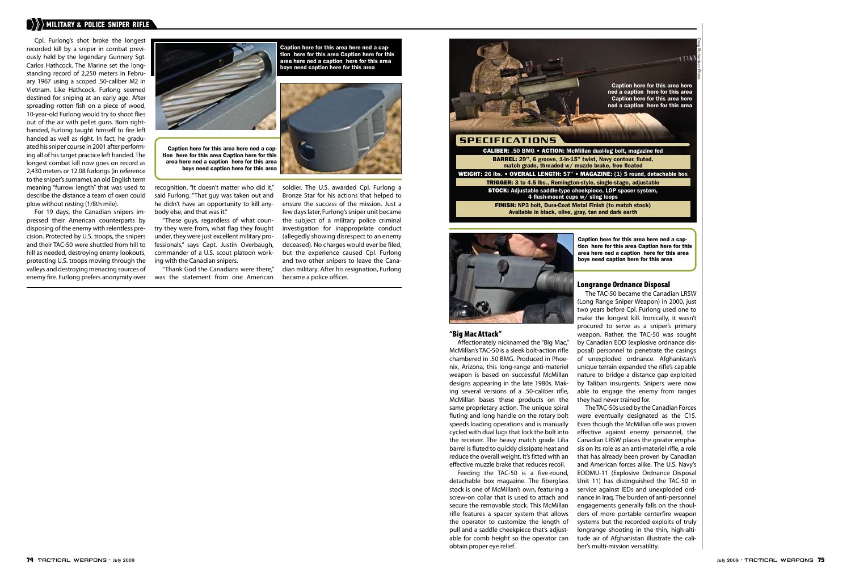Cpl. Furlong's shot broke the longest recorded kill by a sniper in combat previously held by the legendary Gunnery Sgt. Carlos Hathcock. The Marine set the longstanding record of 2,250 meters in February 1967 using a scoped .50-caliber M2 in Vietnam. Like Hathcock, Furlong seemed destined for sniping at an early age. After spreading rotten fish on a piece of wood, 10-year-old Furlong would try to shoot flies out of the air with pellet guns. Born righthanded, Furlong taught himself to fire left handed as well as right. In fact, he graduated his sniper course in 2001 after performing all of his target practice left handed. The longest combat kill now goes on record as 2,430 meters or 12.08 furlongs (in reference to the sniper's surname), an old English term meaning "furrow length" that was used to describe the distance a team of oxen could plow without resting (1/8th mile).

For 19 days, the Canadian snipers impressed their American counterparts by disposing of the enemy with relentless precision. Protected by U.S. troops, the snipers and their TAC-50 were shuttled from hill to hill as needed, destroying enemy lookouts, protecting U.S. troops moving through the valleys and destroying menacing sources of enemy fire. Furlong prefers anonymity over



recognition. "It doesn't matter who did it," said Furlong. "That guy was taken out and he didn't have an opportunity to kill anybody else, and that was it."

"These guys, regardless of what country they were from, what flag they fought under, they were just excellent military professionals," says Capt. Justin Overbaugh, commander of a U.S. scout platoon working with the Canadian snipers.

"Thank God the Canadians were there," was the statement from one American soldier. The U.S. awarded Cpl. Furlong a Bronze Star for his actions that helped to ensure the success of the mission. Just a few days later, Furlong's sniper unit became the subject of a military police criminal investigation for inappropriate conduct (allegedly showing disrespect to an enemy deceased). No charges would ever be filed, but the experience caused Cpl. Furlong and two other snipers to leave the Canadian military. After his resignation, Furlong became a police officer.

### "Big Mac Attack"

Affectionately nicknamed the "Big Mac," McMillan's TAC-50 is a sleek bolt-action rifle chambered in .50 BMG. Produced in Phoenix, Arizona, this long-range anti-materiel weapon is based on successful McMillan designs appearing in the late 1980s. Making several versions of a .50-caliber rifle, McMillan bases these products on the same proprietary action. The unique spiral fluting and long handle on the rotary bolt speeds loading operations and is manually cycled with dual lugs that lock the bolt into the receiver. The heavy match grade Lilia barrel is fluted to quickly dissipate heat and reduce the overall weight. It's fitted with an effective muzzle brake that reduces recoil.

Feeding the TAC-50 is a five-round, detachable box magazine. The fiberglass stock is one of McMillan's own, featuring a screw-on collar that is used to attach and secure the removable stock. This McMillan rifle features a spacer system that allows the operator to customize the length of pull and a saddle cheekpiece that's adjustable for comb height so the operator can obtain proper eye relief.

### Longrange Ordnance Disposal

The TAC-50 became the Canadian LRSW (Long Range Sniper Weapon) in 2000, just two years before Cpl. Furlong used one to make the longest kill. Ironically, it wasn't procured to serve as a sniper's primary weapon. Rather, the TAC-50 was sought by Canadian EOD (explosive ordnance disposal) personnel to penetrate the casings of unexploded ordnance. Afghanistan's unique terrain expanded the rifle's capable nature to bridge a distance gap exploited by Taliban insurgents. Snipers were now able to engage the enemy from ranges they had never trained for.

The TAC-50s used by the Canadian Forces were eventually designated as the C15. Even though the McMillan rifle was proven effective against enemy personnel, the Canadian LRSW places the greater emphasis on its role as an anti-materiel rifle, a role that has already been proven by Canadian and American forces alike. The U.S. Navy's EODMU-11 (Explosive Ordnance Disposal Unit 11) has distinguished the TAC-50 in service against IEDs and unexploded ordnance in Iraq. The burden of anti-personnel engagements generally falls on the shoulders of more portable centerfire weapon systems but the recorded exploits of truly longrange shooting in the thin, high-altitude air of Afghanistan illustrate the caliber's multi-mission versatility.

### »MILITARY & POLICE SNIPER RIFLE

Caption here for this area here ned a caption here for this area Caption here for this area here ned a caption here for this area boys need caption here for this area



Caption here for this area here ned a caption here for this area Caption here for this area here ned a caption here for this area boys need caption here for this area



tion here for this area Caption here for this area here ned a caption here for this area boys need caption here for this area